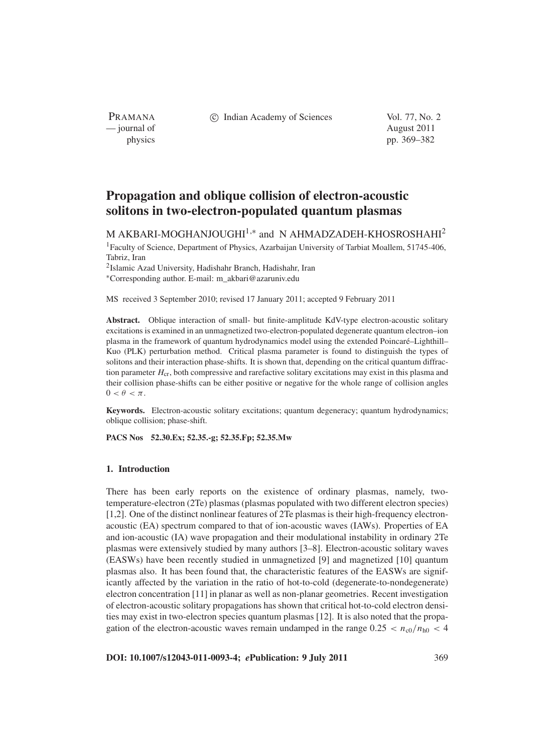c Indian Academy of Sciences Vol. 77, No. 2

PRAMANA — journal of August 2011

physics pp. 369–382

# **Propagation and oblique collision of electron-acoustic solitons in two-electron-populated quantum plasmas**

M AKBARI-MOGHANJOUGHI<sup>1,\*</sup> and N AHMADZADEH-KHOSROSHAHI<sup>2</sup>

1Faculty of Science, Department of Physics, Azarbaijan University of Tarbiat Moallem, 51745-406, Tabriz, Iran

2Islamic Azad University, Hadishahr Branch, Hadishahr, Iran

<sup>∗</sup>Corresponding author. E-mail: m\_akbari@azaruniv.edu

MS received 3 September 2010; revised 17 January 2011; accepted 9 February 2011

**Abstract.** Oblique interaction of small- but finite-amplitude KdV-type electron-acoustic solitary excitations is examined in an unmagnetized two-electron-populated degenerate quantum electron–ion plasma in the framework of quantum hydrodynamics model using the extended Poincaré–Lighthill– Kuo (PLK) perturbation method. Critical plasma parameter is found to distinguish the types of solitons and their interaction phase-shifts. It is shown that, depending on the critical quantum diffraction parameter  $H_{cr}$ , both compressive and rarefactive solitary excitations may exist in this plasma and their collision phase-shifts can be either positive or negative for the whole range of collision angles  $0 < \theta < \pi$ .

**Keywords.** Electron-acoustic solitary excitations; quantum degeneracy; quantum hydrodynamics; oblique collision; phase-shift.

**PACS Nos 52.30.Ex; 52.35.-g; 52.35.Fp; 52.35.Mw**

## **1. Introduction**

There has been early reports on the existence of ordinary plasmas, namely, twotemperature-electron (2Te) plasmas (plasmas populated with two different electron species) [1,2]. One of the distinct nonlinear features of 2Te plasmas is their high-frequency electronacoustic (EA) spectrum compared to that of ion-acoustic waves (IAWs). Properties of EA and ion-acoustic (IA) wave propagation and their modulational instability in ordinary 2Te plasmas were extensively studied by many authors [3–8]. Electron-acoustic solitary waves (EASWs) have been recently studied in unmagnetized [9] and magnetized [10] quantum plasmas also. It has been found that, the characteristic features of the EASWs are significantly affected by the variation in the ratio of hot-to-cold (degenerate-to-nondegenerate) electron concentration [11] in planar as well as non-planar geometries. Recent investigation of electron-acoustic solitary propagations has shown that critical hot-to-cold electron densities may exist in two-electron species quantum plasmas [12]. It is also noted that the propagation of the electron-acoustic waves remain undamped in the range  $0.25 < n_{c0}/n_{h0} < 4$ 

**DOI: 10.1007/s12043-011-0093-4;** *e***Publication: 9 July 2011** 369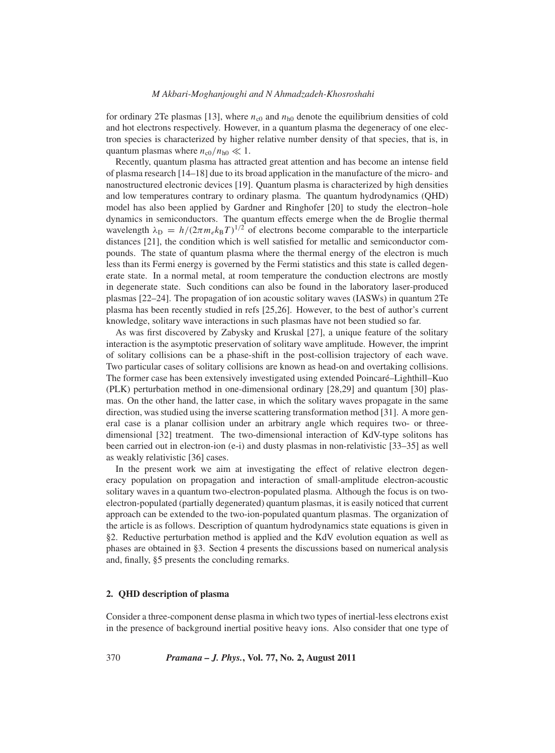for ordinary 2Te plasmas [13], where  $n_{c0}$  and  $n_{h0}$  denote the equilibrium densities of cold and hot electrons respectively. However, in a quantum plasma the degeneracy of one electron species is characterized by higher relative number density of that species, that is, in quantum plasmas where  $n_{c0}/n_{h0} \ll 1$ .

Recently, quantum plasma has attracted great attention and has become an intense field of plasma research [14–18] due to its broad application in the manufacture of the micro- and nanostructured electronic devices [19]. Quantum plasma is characterized by high densities and low temperatures contrary to ordinary plasma. The quantum hydrodynamics (QHD) model has also been applied by Gardner and Ringhofer [20] to study the electron–hole dynamics in semiconductors. The quantum effects emerge when the de Broglie thermal wavelength  $\lambda_D = h/(2\pi m_e k_B T)^{1/2}$  of electrons become comparable to the interparticle distances [21], the condition which is well satisfied for metallic and semiconductor compounds. The state of quantum plasma where the thermal energy of the electron is much less than its Fermi energy is governed by the Fermi statistics and this state is called degenerate state. In a normal metal, at room temperature the conduction electrons are mostly in degenerate state. Such conditions can also be found in the laboratory laser-produced plasmas [22–24]. The propagation of ion acoustic solitary waves (IASWs) in quantum 2Te plasma has been recently studied in refs [25,26]. However, to the best of author's current knowledge, solitary wave interactions in such plasmas have not been studied so far.

As was first discovered by Zabysky and Kruskal [27], a unique feature of the solitary interaction is the asymptotic preservation of solitary wave amplitude. However, the imprint of solitary collisions can be a phase-shift in the post-collision trajectory of each wave. Two particular cases of solitary collisions are known as head-on and overtaking collisions. The former case has been extensively investigated using extended Poincaré–Lighthill–Kuo (PLK) perturbation method in one-dimensional ordinary [28,29] and quantum [30] plasmas. On the other hand, the latter case, in which the solitary waves propagate in the same direction, was studied using the inverse scattering transformation method [31]. A more general case is a planar collision under an arbitrary angle which requires two- or threedimensional [32] treatment. The two-dimensional interaction of KdV-type solitons has been carried out in electron-ion (e-i) and dusty plasmas in non-relativistic [33–35] as well as weakly relativistic [36] cases.

In the present work we aim at investigating the effect of relative electron degeneracy population on propagation and interaction of small-amplitude electron-acoustic solitary waves in a quantum two-electron-populated plasma. Although the focus is on twoelectron-populated (partially degenerated) quantum plasmas, it is easily noticed that current approach can be extended to the two-ion-populated quantum plasmas. The organization of the article is as follows. Description of quantum hydrodynamics state equations is given in §2. Reductive perturbation method is applied and the KdV evolution equation as well as phases are obtained in §3. Section 4 presents the discussions based on numerical analysis and, finally, §5 presents the concluding remarks.

## **2. QHD description of plasma**

Consider a three-component dense plasma in which two types of inertial-less electrons exist in the presence of background inertial positive heavy ions. Also consider that one type of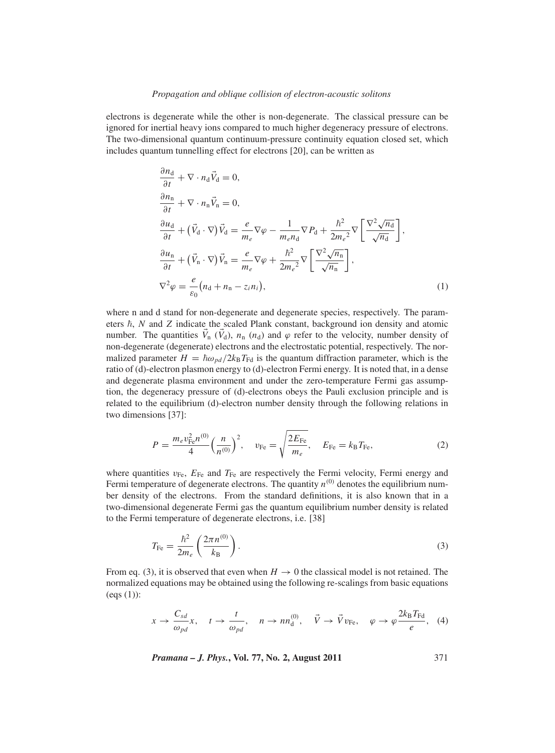electrons is degenerate while the other is non-degenerate. The classical pressure can be ignored for inertial heavy ions compared to much higher degeneracy pressure of electrons. The two-dimensional quantum continuum-pressure continuity equation closed set, which includes quantum tunnelling effect for electrons [20], can be written as

$$
\frac{\partial n_{\rm d}}{\partial t} + \nabla \cdot n_{\rm d} \vec{V}_{\rm d} = 0,
$$
\n
$$
\frac{\partial n_{\rm n}}{\partial t} + \nabla \cdot n_{\rm n} \vec{V}_{\rm n} = 0,
$$
\n
$$
\frac{\partial u_{\rm d}}{\partial t} + (\vec{V}_{\rm d} \cdot \nabla) \vec{V}_{\rm d} = \frac{e}{m_e} \nabla \varphi - \frac{1}{m_e n_{\rm d}} \nabla P_{\rm d} + \frac{\hbar^2}{2m_e^2} \nabla \left[ \frac{\nabla^2 \sqrt{n_{\rm d}}}{\sqrt{n_{\rm d}}} \right],
$$
\n
$$
\frac{\partial u_{\rm n}}{\partial t} + (\vec{V}_{\rm n} \cdot \nabla) \vec{V}_{\rm n} = \frac{e}{m_e} \nabla \varphi + \frac{\hbar^2}{2m_e^2} \nabla \left[ \frac{\nabla^2 \sqrt{n_{\rm n}}}{\sqrt{n_{\rm n}}} \right],
$$
\n
$$
\nabla^2 \varphi = \frac{e}{\varepsilon_0} (n_{\rm d} + n_{\rm n} - z_i n_i),
$$
\n(1)

where n and d stand for non-degenerate and degenerate species, respectively. The parameters  $\hbar$ , *N* and *Z* indicate the scaled Plank constant, background ion density and atomic number. The quantities  $\vec{V}_n$  ( $\vec{V}_d$ ),  $n_n$  ( $n_d$ ) and  $\varphi$  refer to the velocity, number density of non-degenerate (degenerate) electrons and the electrostatic potential, respectively. The normalized parameter  $H = \hbar \omega_{pd} / 2k_B T_{\text{Fd}}$  is the quantum diffraction parameter, which is the ratio of (d)-electron plasmon energy to (d)-electron Fermi energy. It is noted that, in a dense and degenerate plasma environment and under the zero-temperature Fermi gas assumption, the degeneracy pressure of (d)-electrons obeys the Pauli exclusion principle and is related to the equilibrium (d)-electron number density through the following relations in two dimensions [37]:

$$
P = \frac{m_e v_{\text{Fe}}^2 n^{(0)}}{4} \left(\frac{n}{n^{(0)}}\right)^2, \quad v_{\text{Fe}} = \sqrt{\frac{2E_{\text{Fe}}}{m_e}}, \quad E_{\text{Fe}} = k_B T_{\text{Fe}}, \tag{2}
$$

where quantities  $v_{\text{Fe}}$ ,  $E_{\text{Fe}}$  and  $T_{\text{Fe}}$  are respectively the Fermi velocity, Fermi energy and Fermi temperature of degenerate electrons. The quantity  $n^{(0)}$  denotes the equilibrium number density of the electrons. From the standard definitions, it is also known that in a two-dimensional degenerate Fermi gas the quantum equilibrium number density is related to the Fermi temperature of degenerate electrons, i.e. [38]

$$
T_{\rm Fe} = \frac{\hbar^2}{2m_e} \left( \frac{2\pi n^{(0)}}{k_{\rm B}} \right). \tag{3}
$$

From eq. (3), it is observed that even when  $H \to 0$  the classical model is not retained. The normalized equations may be obtained using the following re-scalings from basic equations (eqs (1)):

$$
x \to \frac{C_{sd}}{\omega_{pd}} x, \quad t \to \frac{t}{\omega_{pd}}, \quad n \to nn_d^{(0)}, \quad \vec{V} \to \vec{V}v_{\text{Fe}}, \quad \varphi \to \varphi \frac{2k_B T_{\text{Fd}}}{e}, \quad (4)
$$

*Pramana – J. Phys.***, Vol. 77, No. 2, August 2011** 371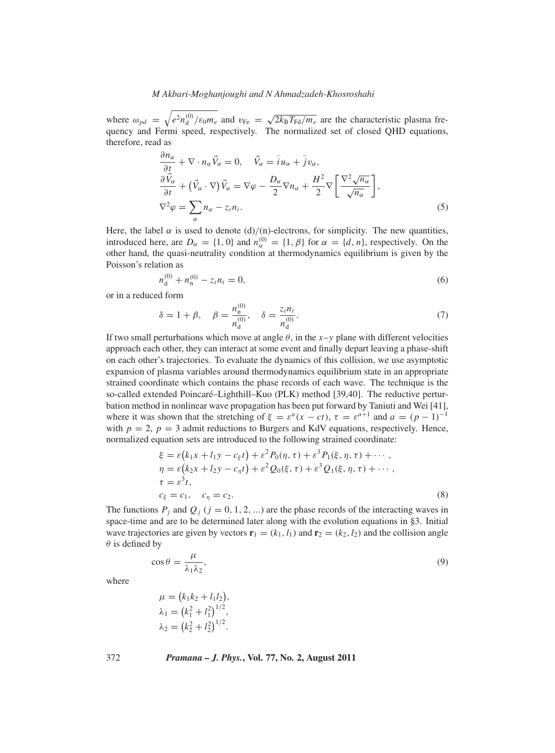where  $\omega_{pd} = \sqrt{e^2 n_d^{(0)}/\epsilon_0 m_e}$  and  $v_{Fe} = \sqrt{2k_B T_{Fd}/m_e}$  are the characteristic plasma frequency and Fermi speed, respectively. The normalized set of closed QHD equations, therefore, read as

$$
\frac{\partial n_{\alpha}}{\partial t} + \nabla \cdot n_{\alpha} \vec{V}_{\alpha} = 0, \quad \vec{V}_{\alpha} = \hat{i} u_{\alpha} + \hat{j} v_{\alpha},
$$
  
\n
$$
\frac{\partial \vec{V}_{\alpha}}{\partial t} + (\vec{V}_{\alpha} \cdot \nabla) \vec{V}_{\alpha} = \nabla \varphi - \frac{D_{\alpha}}{2} \nabla n_{\alpha} + \frac{H^2}{2} \nabla \left[ \frac{\nabla^2 \sqrt{n_{\alpha}}}{\sqrt{n_{\alpha}}} \right],
$$
  
\n
$$
\nabla^2 \varphi = \sum_{\alpha} n_{\alpha} - z_i n_i.
$$
\n(5)

Here, the label  $\alpha$  is used to denote (d)/(n)-electrons, for simplicity. The new quantities, introduced here, are  $D_{\alpha} = \{1, 0\}$  and  $n_{\alpha}^{(0)} = \{1, \beta\}$  for  $\alpha = \{d, n\}$ , respectively. On the other hand, the quasi-neutrality condition at thermodynamics equilibrium is given by the Poisson's relation as

$$
n_d^{(0)} + n_n^{(0)} - z_i n_i = 0,\t\t(6)
$$

or in a reduced form

$$
\delta = 1 + \beta, \quad \beta = \frac{n_{\rm n}^{(0)}}{n_{\rm d}^{(0)}}, \quad \delta = \frac{z_i n_i}{n_{\rm d}^{(0)}}.
$$
\n(7)

If two small perturbations which move at angle  $\theta$ , in the *x*-*y* plane with different velocities approach each other, they can interact at some event and finally depart leaving a phase-shift on each other's trajectories. To evaluate the dynamics of this collision, we use asymptotic expansion of plasma variables around thermodynamics equilibrium state in an appropriate strained coordinate which contains the phase records of each wave. The technique is the so-called extended Poincaré–Lighthill–Kuo (PLK) method [39,40]. The reductive perturbation method in nonlinear wave propagation has been put forward by Taniuti and Wei [41], where it was shown that the stretching of  $\xi = \varepsilon^a(x - ct)$ ,  $\tau = \varepsilon^{a+1}$  and  $a = (p-1)^{-1}$ with  $p = 2$ ,  $p = 3$  admit reductions to Burgers and KdV equations, respectively. Hence, normalized equation sets are introduced to the following strained coordinate:

$$
\xi = \varepsilon (k_1 x + l_1 y - c_{\xi} t) + \varepsilon^2 P_0(\eta, \tau) + \varepsilon^3 P_1(\xi, \eta, \tau) + \cdots, \eta = \varepsilon (k_2 x + l_2 y - c_{\eta} t) + \varepsilon^2 Q_0(\xi, \tau) + \varepsilon^3 Q_1(\xi, \eta, \tau) + \cdots, \tau = \varepsilon^3 t, \n c_{\xi} = c_1, \quad c_{\eta} = c_2.
$$
\n(8)

The functions  $P_i$  and  $Q_i$  ( $j = 0, 1, 2, ...$ ) are the phase records of the interacting waves in space-time and are to be determined later along with the evolution equations in §3. Initial wave trajectories are given by vectors  $\mathbf{r}_1 = (k_1, l_1)$  and  $\mathbf{r}_2 = (k_2, l_2)$  and the collision angle  $\theta$  is defined by

$$
\cos \theta = \frac{\mu}{\lambda_1 \lambda_2},\tag{9}
$$

where

$$
\mu = (k_1 k_2 + l_1 l_2),
$$
  
\n
$$
\lambda_1 = (k_1^2 + l_1^2)^{1/2},
$$
  
\n
$$
\lambda_2 = (k_2^2 + l_2^2)^{1/2}.
$$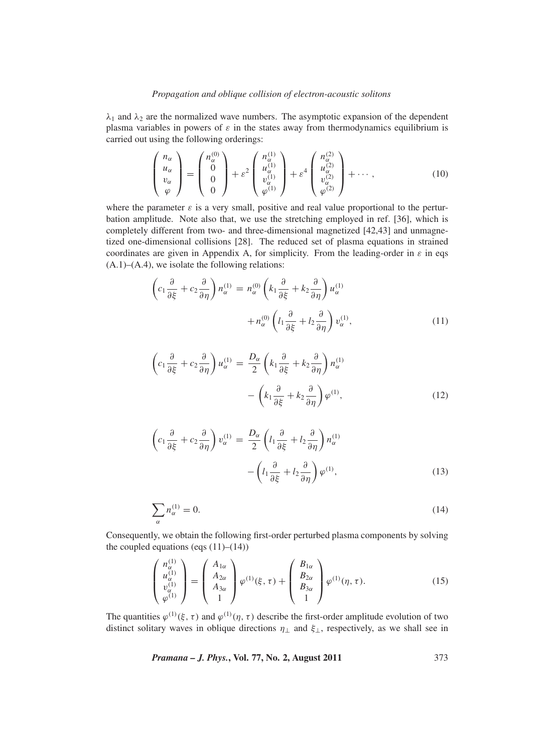$\lambda_1$  and  $\lambda_2$  are the normalized wave numbers. The asymptotic expansion of the dependent plasma variables in powers of  $\varepsilon$  in the states away from thermodynamics equilibrium is carried out using the following orderings:

$$
\begin{pmatrix}\nn_{\alpha} \\
u_{\alpha} \\
v_{\alpha} \\
\varphi\n\end{pmatrix} = \begin{pmatrix}\nn_{\alpha}^{(0)} \\
0 \\
0 \\
0\n\end{pmatrix} + \varepsilon^2 \begin{pmatrix}\nn_{\alpha}^{(1)} \\
u_{\alpha}^{(1)} \\
v_{\alpha}^{(1)} \\
\varphi^{(1)}\n\end{pmatrix} + \varepsilon^4 \begin{pmatrix}\nn_{\alpha}^{(2)} \\
u_{\alpha}^{(2)} \\
v_{\alpha}^{(2)} \\
\varphi^{(2)}\n\end{pmatrix} + \cdots , \qquad (10)
$$

where the parameter  $\varepsilon$  is a very small, positive and real value proportional to the perturbation amplitude. Note also that, we use the stretching employed in ref. [36], which is completely different from two- and three-dimensional magnetized [42,43] and unmagnetized one-dimensional collisions [28]. The reduced set of plasma equations in strained coordinates are given in Appendix A, for simplicity. From the leading-order in  $\varepsilon$  in eqs  $(A.1)$ – $(A.4)$ , we isolate the following relations:

$$
\left(c_1\frac{\partial}{\partial\xi} + c_2\frac{\partial}{\partial\eta}\right)n_{\alpha}^{(1)} = n_{\alpha}^{(0)}\left(k_1\frac{\partial}{\partial\xi} + k_2\frac{\partial}{\partial\eta}\right)u_{\alpha}^{(1)} + n_{\alpha}^{(0)}\left(l_1\frac{\partial}{\partial\xi} + l_2\frac{\partial}{\partial\eta}\right)v_{\alpha}^{(1)},
$$
\n(11)

$$
\left(c_1\frac{\partial}{\partial\xi} + c_2\frac{\partial}{\partial\eta}\right)u_\alpha^{(1)} = \frac{D_\alpha}{2}\left(k_1\frac{\partial}{\partial\xi} + k_2\frac{\partial}{\partial\eta}\right)n_\alpha^{(1)} - \left(k_1\frac{\partial}{\partial\xi} + k_2\frac{\partial}{\partial\eta}\right)\varphi^{(1)},\tag{12}
$$

$$
\left(c_1\frac{\partial}{\partial\xi} + c_2\frac{\partial}{\partial\eta}\right)v_\alpha^{(1)} = \frac{D_\alpha}{2}\left(l_1\frac{\partial}{\partial\xi} + l_2\frac{\partial}{\partial\eta}\right)n_\alpha^{(1)} - \left(l_1\frac{\partial}{\partial\xi} + l_2\frac{\partial}{\partial\eta}\right)\varphi^{(1)},\tag{13}
$$

$$
\sum_{\alpha} n_{\alpha}^{(1)} = 0. \tag{14}
$$

Consequently, we obtain the following first-order perturbed plasma components by solving the coupled equations (eqs  $(11)–(14)$ )

$$
\begin{pmatrix} n_{\alpha}^{(1)} \\ u_{\alpha}^{(1)} \\ v_{\alpha}^{(1)} \\ \varphi^{(1)} \end{pmatrix} = \begin{pmatrix} A_{1\alpha} \\ A_{2\alpha} \\ A_{3\alpha} \\ 1 \end{pmatrix} \varphi^{(1)}(\xi, \tau) + \begin{pmatrix} B_{1\alpha} \\ B_{2\alpha} \\ B_{3\alpha} \\ 1 \end{pmatrix} \varphi^{(1)}(\eta, \tau). \tag{15}
$$

The quantities  $\varphi^{(1)}(\xi, \tau)$  and  $\varphi^{(1)}(\eta, \tau)$  describe the first-order amplitude evolution of two distinct solitary waves in oblique directions  $\eta_{\perp}$  and  $\xi_{\perp}$ , respectively, as we shall see in

*Pramana – J. Phys.***, Vol. 77, No. 2, August 2011** 373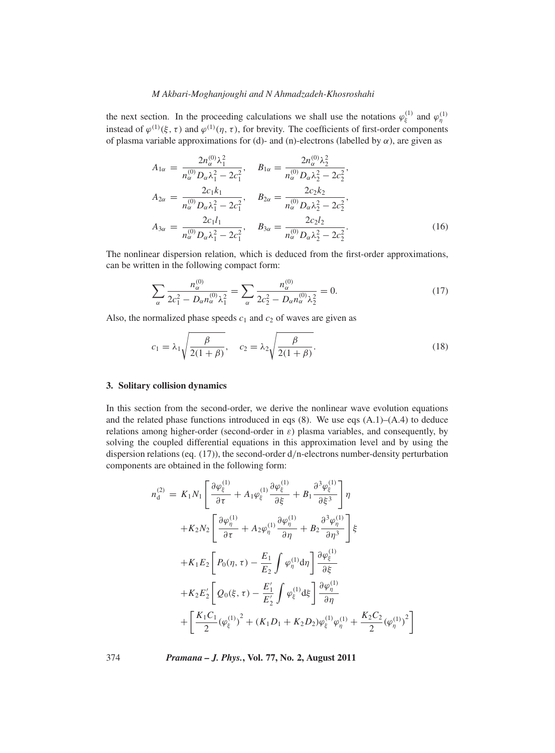the next section. In the proceeding calculations we shall use the notations  $\varphi_{\xi}^{(1)}$  and  $\varphi_{\eta}^{(1)}$ instead of  $\varphi^{(1)}(\xi,\tau)$  and  $\varphi^{(1)}(\eta,\tau)$ , for brevity. The coefficients of first-order components of plasma variable approximations for (d)- and (n)-electrons (labelled by  $\alpha$ ), are given as

$$
A_{1\alpha} = \frac{2n_{\alpha}^{(0)}\lambda_1^2}{n_{\alpha}^{(0)}D_{\alpha}\lambda_1^2 - 2c_1^2}, \qquad B_{1\alpha} = \frac{2n_{\alpha}^{(0)}\lambda_2^2}{n_{\alpha}^{(0)}D_{\alpha}\lambda_2^2 - 2c_2^2},
$$
  
\n
$$
A_{2\alpha} = \frac{2c_1k_1}{n_{\alpha}^{(0)}D_{\alpha}\lambda_1^2 - 2c_1^2}, \qquad B_{2\alpha} = \frac{2c_2k_2}{n_{\alpha}^{(0)}D_{\alpha}\lambda_2^2 - 2c_2^2},
$$
  
\n
$$
A_{3\alpha} = \frac{2c_1l_1}{n_{\alpha}^{(0)}D_{\alpha}\lambda_1^2 - 2c_1^2}, \qquad B_{3\alpha} = \frac{2c_2l_2}{n_{\alpha}^{(0)}D_{\alpha}\lambda_2^2 - 2c_2^2}.
$$
  
\n(16)

The nonlinear dispersion relation, which is deduced from the first-order approximations, can be written in the following compact form:

$$
\sum_{\alpha} \frac{n_{\alpha}^{(0)}}{2c_1^2 - D_{\alpha}n_{\alpha}^{(0)}\lambda_1^2} = \sum_{\alpha} \frac{n_{\alpha}^{(0)}}{2c_2^2 - D_{\alpha}n_{\alpha}^{(0)}\lambda_2^2} = 0.
$$
 (17)

Also, the normalized phase speeds  $c_1$  and  $c_2$  of waves are given as

$$
c_1 = \lambda_1 \sqrt{\frac{\beta}{2(1+\beta)}}, \quad c_2 = \lambda_2 \sqrt{\frac{\beta}{2(1+\beta)}}.
$$
\n(18)

## **3. Solitary collision dynamics**

In this section from the second-order, we derive the nonlinear wave evolution equations and the related phase functions introduced in eqs (8). We use eqs (A.1)–(A.4) to deduce relations among higher-order (second-order in  $\varepsilon$ ) plasma variables, and consequently, by solving the coupled differential equations in this approximation level and by using the dispersion relations (eq. (17)), the second-order d/n-electrons number-density perturbation components are obtained in the following form:

$$
n_{d}^{(2)} = K_{1}N_{1} \left[ \frac{\partial \varphi_{\xi}^{(1)}}{\partial \tau} + A_{1} \varphi_{\xi}^{(1)} \frac{\partial \varphi_{\xi}^{(1)}}{\partial \xi} + B_{1} \frac{\partial^{3} \varphi_{\xi}^{(1)}}{\partial \xi^{3}} \right] \eta
$$
  
+
$$
K_{2}N_{2} \left[ \frac{\partial \varphi_{\eta}^{(1)}}{\partial \tau} + A_{2} \varphi_{\eta}^{(1)} \frac{\partial \varphi_{\eta}^{(1)}}{\partial \eta} + B_{2} \frac{\partial^{3} \varphi_{\eta}^{(1)}}{\partial \eta^{3}} \right] \xi
$$
  
+
$$
K_{1}E_{2} \left[ P_{0}(\eta, \tau) - \frac{E_{1}}{E_{2}} \int \varphi_{\eta}^{(1)} d\eta \right] \frac{\partial \varphi_{\xi}^{(1)}}{\partial \xi}
$$
  
+
$$
K_{2}E_{2}' \left[ Q_{0}(\xi, \tau) - \frac{E_{1}'}{E_{2}'} \int \varphi_{\xi}^{(1)} d\xi \right] \frac{\partial \varphi_{\eta}^{(1)}}{\partial \eta}
$$
  
+
$$
\left[ \frac{K_{1}C_{1}}{2} (\varphi_{\xi}^{(1)})^{2} + (K_{1}D_{1} + K_{2}D_{2}) \varphi_{\xi}^{(1)} \varphi_{\eta}^{(1)} + \frac{K_{2}C_{2}}{2} (\varphi_{\eta}^{(1)})^{2} \right]
$$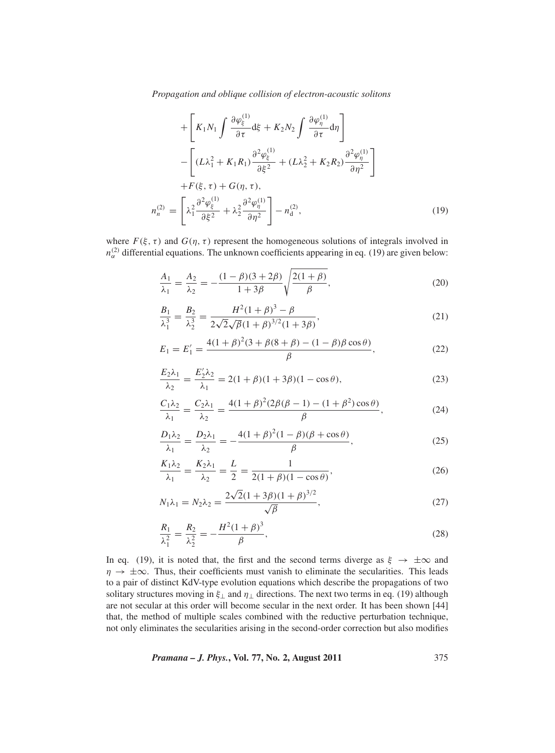*Propagation and oblique collision of electron-acoustic solitons*

$$
+\left[K_1N_1\int \frac{\partial \varphi_\xi^{(1)}}{\partial \tau} d\xi + K_2N_2\int \frac{\partial \varphi_\eta^{(1)}}{\partial \tau} d\eta\right]
$$

$$
-\left[(L\lambda_1^2 + K_1R_1)\frac{\partial^2 \varphi_\xi^{(1)}}{\partial \xi^2} + (L\lambda_2^2 + K_2R_2)\frac{\partial^2 \varphi_\eta^{(1)}}{\partial \eta^2}\right]
$$

$$
+F(\xi, \tau) + G(\eta, \tau),
$$

$$
n_n^{(2)} = \left[\lambda_1^2 \frac{\partial^2 \varphi_\xi^{(1)}}{\partial \xi^2} + \lambda_2^2 \frac{\partial^2 \varphi_\eta^{(1)}}{\partial \eta^2}\right] - n_d^{(2)},
$$
(19)

where  $F(\xi, \tau)$  and  $G(\eta, \tau)$  represent the homogeneous solutions of integrals involved in  $n_{\alpha}^{(2)}$  differential equations. The unknown coefficients appearing in eq. (19) are given below:

$$
\frac{A_1}{\lambda_1} = \frac{A_2}{\lambda_2} = -\frac{(1-\beta)(3+2\beta)}{1+3\beta} \sqrt{\frac{2(1+\beta)}{\beta}},\tag{20}
$$

$$
\frac{B_1}{\lambda_1^3} = \frac{B_2}{\lambda_2^3} = \frac{H^2(1+\beta)^3 - \beta}{2\sqrt{2}\sqrt{\beta}(1+\beta)^{3/2}(1+3\beta)},\tag{21}
$$

$$
E_1 = E'_1 = \frac{4(1+\beta)^2(3+\beta(8+\beta)-(1-\beta)\beta\cos\theta)}{\beta},
$$
\n(22)

$$
\frac{E_2 \lambda_1}{\lambda_2} = \frac{E'_2 \lambda_2}{\lambda_1} = 2(1+\beta)(1+3\beta)(1-\cos\theta),
$$
\n(23)

$$
\frac{C_1 \lambda_2}{\lambda_1} = \frac{C_2 \lambda_1}{\lambda_2} = \frac{4(1+\beta)^2 (2\beta(\beta-1) - (1+\beta^2)\cos\theta)}{\beta},
$$
 (24)

$$
\frac{D_1\lambda_2}{\lambda_1} = \frac{D_2\lambda_1}{\lambda_2} = -\frac{4(1+\beta)^2(1-\beta)(\beta+\cos\theta)}{\beta},\tag{25}
$$

$$
\frac{K_1\lambda_2}{\lambda_1} = \frac{K_2\lambda_1}{\lambda_2} = \frac{L}{2} = \frac{1}{2(1+\beta)(1-\cos\theta)},
$$
\n(26)

$$
N_1 \lambda_1 = N_2 \lambda_2 = \frac{2\sqrt{2}(1+3\beta)(1+\beta)^{3/2}}{\sqrt{\beta}},
$$
\n(27)

$$
\frac{R_1}{\lambda_1^2} = \frac{R_2}{\lambda_2^2} = -\frac{H^2(1+\beta)^3}{\beta},\tag{28}
$$

In eq. (19), it is noted that, the first and the second terms diverge as  $\xi \to \pm \infty$  and  $\eta \rightarrow \pm \infty$ . Thus, their coefficients must vanish to eliminate the secularities. This leads to a pair of distinct KdV-type evolution equations which describe the propagations of two solitary structures moving in  $\xi_{\perp}$  and  $\eta_{\perp}$  directions. The next two terms in eq. (19) although are not secular at this order will become secular in the next order. It has been shown [44] that, the method of multiple scales combined with the reductive perturbation technique, not only eliminates the secularities arising in the second-order correction but also modifies

*Pramana – J. Phys.***, Vol. 77, No. 2, August 2011** 375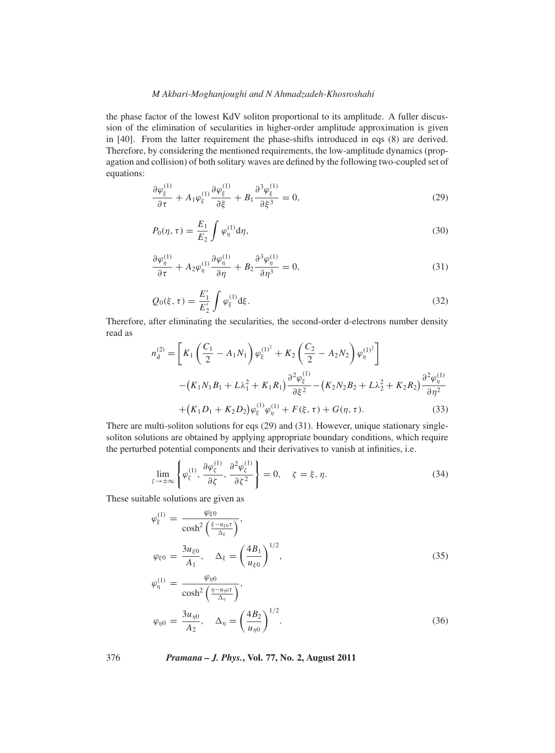the phase factor of the lowest KdV soliton proportional to its amplitude. A fuller discussion of the elimination of secularities in higher-order amplitude approximation is given in [40]. From the latter requirement the phase-shifts introduced in eqs (8) are derived. Therefore, by considering the mentioned requirements, the low-amplitude dynamics (propagation and collision) of both solitary waves are defined by the following two-coupled set of equations:

$$
\frac{\partial \varphi_{\xi}^{(1)}}{\partial \tau} + A_1 \varphi_{\xi}^{(1)} \frac{\partial \varphi_{\xi}^{(1)}}{\partial \xi} + B_1 \frac{\partial^3 \varphi_{\xi}^{(1)}}{\partial \xi^3} = 0, \tag{29}
$$

$$
P_0(\eta, \tau) = \frac{E_1}{E_2} \int \varphi_{\eta}^{(1)} \mathrm{d}\eta,\tag{30}
$$

$$
\frac{\partial \varphi_{\eta}^{(1)}}{\partial \tau} + A_2 \varphi_{\eta}^{(1)} \frac{\partial \varphi_{\eta}^{(1)}}{\partial \eta} + B_2 \frac{\partial^3 \varphi_{\eta}^{(1)}}{\partial \eta^3} = 0, \tag{31}
$$

$$
Q_0(\xi, \tau) = \frac{E_1'}{E_2'} \int \varphi_{\xi}^{(1)} \mathrm{d}\xi. \tag{32}
$$

Therefore, after eliminating the secularities, the second-order d-electrons number density read as

$$
n_{\rm d}^{(2)} = \left[ K_1 \left( \frac{C_1}{2} - A_1 N_1 \right) \varphi_{\xi}^{(1)^2} + K_2 \left( \frac{C_2}{2} - A_2 N_2 \right) \varphi_{\eta}^{(1)^2} \right]
$$
  
 
$$
- \left( K_1 N_1 B_1 + L \lambda_1^2 + K_1 R_1 \right) \frac{\partial^2 \varphi_{\xi}^{(1)}}{\partial \xi^2} - \left( K_2 N_2 B_2 + L \lambda_2^2 + K_2 R_2 \right) \frac{\partial^2 \varphi_{\eta}^{(1)}}{\partial \eta^2}
$$
  
 
$$
+ \left( K_1 D_1 + K_2 D_2 \right) \varphi_{\xi}^{(1)} \varphi_{\eta}^{(1)} + F(\xi, \tau) + G(\eta, \tau). \tag{33}
$$

There are multi-soliton solutions for eqs (29) and (31). However, unique stationary singlesoliton solutions are obtained by applying appropriate boundary conditions, which require the perturbed potential components and their derivatives to vanish at infinities, i.e.

$$
\lim_{\zeta \to \pm \infty} \left\{ \varphi_{\zeta}^{(1)}, \frac{\partial \varphi_{\zeta}^{(1)}}{\partial \zeta}, \frac{\partial^2 \varphi_{\zeta}^{(1)}}{\partial \zeta^2} \right\} = 0, \quad \zeta = \xi, \eta. \tag{34}
$$

These suitable solutions are given as

$$
\varphi_{\xi}^{(1)} = \frac{\varphi_{\xi0}}{\cosh^2\left(\frac{\xi - u_{\xi0}\tau}{\Delta_{\xi}}\right)},
$$
\n
$$
\varphi_{\xi0} = \frac{3u_{\xi0}}{A_1}, \quad \Delta_{\xi} = \left(\frac{4B_1}{u_{\xi0}}\right)^{1/2},
$$
\n
$$
\varphi_{\eta}^{(1)} = \frac{\varphi_{\eta0}}{\cosh^2\left(\frac{\eta - u_{\eta0}\tau}{\Delta_{\eta}}\right)},
$$
\n(35)

$$
\varphi_{\eta 0} = \frac{3u_{\eta 0}}{A_2}, \quad \Delta_{\eta} = \left(\frac{4B_2}{u_{\eta 0}}\right)^{1/2}.
$$
\n(36)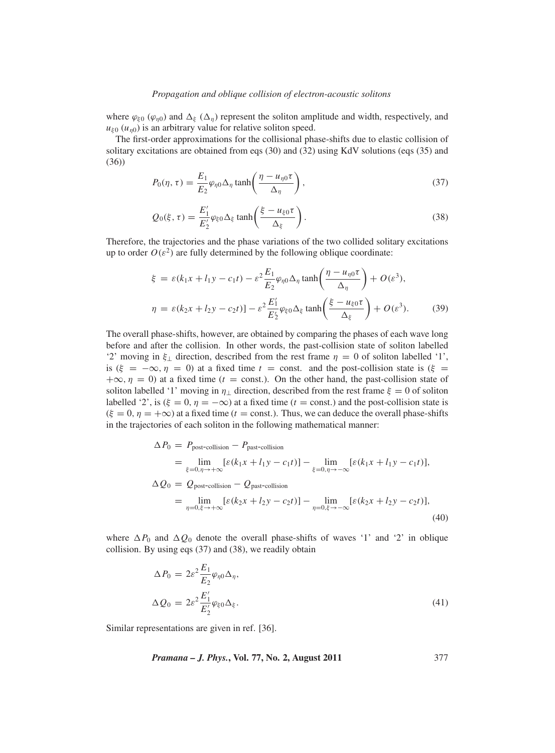## *Propagation and oblique collision of electron-acoustic solitons*

where  $\varphi_{\xi0}$  ( $\varphi_{n0}$ ) and  $\Delta_{\xi}$  ( $\Delta_n$ ) represent the soliton amplitude and width, respectively, and  $u_{\xi0}$  ( $u_{\eta0}$ ) is an arbitrary value for relative soliton speed.

The first-order approximations for the collisional phase-shifts due to elastic collision of solitary excitations are obtained from eqs (30) and (32) using KdV solutions (eqs (35) and (36))

$$
P_0(\eta, \tau) = \frac{E_1}{E_2} \varphi_{\eta 0} \Delta_{\eta} \tanh\left(\frac{\eta - u_{\eta 0} \tau}{\Delta_{\eta}}\right),\tag{37}
$$

$$
Q_0(\xi,\tau) = \frac{E'_1}{E'_2} \varphi_{\xi 0} \Delta_{\xi} \tanh\left(\frac{\xi - u_{\xi 0} \tau}{\Delta_{\xi}}\right).
$$
 (38)

Therefore, the trajectories and the phase variations of the two collided solitary excitations up to order  $O(\varepsilon^2)$  are fully determined by the following oblique coordinate:

$$
\xi = \varepsilon (k_1 x + l_1 y - c_1 t) - \varepsilon^2 \frac{E_1}{E_2} \varphi_{\eta 0} \Delta_\eta \tanh\left(\frac{\eta - u_{\eta 0} \tau}{\Delta_\eta}\right) + O(\varepsilon^3),
$$
  

$$
\eta = \varepsilon (k_2 x + l_2 y - c_2 t) - \varepsilon^2 \frac{E'_1}{E'_2} \varphi_{\xi 0} \Delta_\xi \tanh\left(\frac{\xi - u_{\xi 0} \tau}{\Delta_\xi}\right) + O(\varepsilon^3).
$$
 (39)

The overall phase-shifts, however, are obtained by comparing the phases of each wave long before and after the collision. In other words, the past-collision state of soliton labelled '2' moving in  $\xi_{\perp}$  direction, described from the rest frame  $\eta = 0$  of soliton labelled '1', is ( $\xi = -\infty$ ,  $\eta = 0$ ) at a fixed time  $t =$  const. and the post-collision state is ( $\xi =$  $+\infty$ ,  $\eta = 0$ ) at a fixed time ( $t =$  const.). On the other hand, the past-collision state of soliton labelled '1' moving in  $\eta_{\perp}$  direction, described from the rest frame  $\xi = 0$  of soliton labelled '2', is ( $\xi = 0$ ,  $\eta = -\infty$ ) at a fixed time ( $t =$  const.) and the post-collision state is  $(\xi = 0, \eta = +\infty)$  at a fixed time ( $t =$  const.). Thus, we can deduce the overall phase-shifts in the trajectories of each soliton in the following mathematical manner:

$$
\Delta P_0 = P_{\text{post-collision}} - P_{\text{past-collision}}
$$
  
\n
$$
= \lim_{\xi=0,\eta \to +\infty} [\varepsilon (k_1 x + l_1 y - c_1 t)] - \lim_{\xi=0,\eta \to -\infty} [\varepsilon (k_1 x + l_1 y - c_1 t)],
$$
  
\n
$$
\Delta Q_0 = Q_{\text{post-collision}} - Q_{\text{past-collision}}
$$
  
\n
$$
= \lim_{\eta=0,\xi \to +\infty} [\varepsilon (k_2 x + l_2 y - c_2 t)] - \lim_{\eta=0,\xi \to -\infty} [\varepsilon (k_2 x + l_2 y - c_2 t)],
$$
  
\n(40)

where  $\Delta P_0$  and  $\Delta Q_0$  denote the overall phase-shifts of waves '1' and '2' in oblique collision. By using eqs (37) and (38), we readily obtain

$$
\Delta P_0 = 2\varepsilon^2 \frac{E_1}{E_2} \varphi_{\eta 0} \Delta_\eta,
$$
  

$$
\Delta Q_0 = 2\varepsilon^2 \frac{E'_1}{E'_2} \varphi_{\xi 0} \Delta_\xi.
$$
 (41)

Similar representations are given in ref. [36].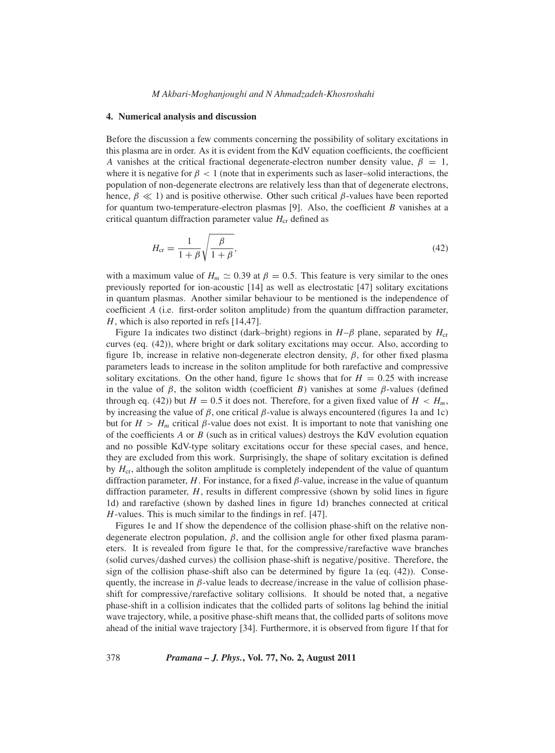#### **4. Numerical analysis and discussion**

Before the discussion a few comments concerning the possibility of solitary excitations in this plasma are in order. As it is evident from the KdV equation coefficients, the coefficient *A* vanishes at the critical fractional degenerate-electron number density value,  $\beta = 1$ , where it is negative for  $\beta < 1$  (note that in experiments such as laser–solid interactions, the population of non-degenerate electrons are relatively less than that of degenerate electrons, hence,  $\beta \ll 1$ ) and is positive otherwise. Other such critical  $\beta$ -values have been reported for quantum two-temperature-electron plasmas [9]. Also, the coefficient *B* vanishes at a critical quantum diffraction parameter value  $H_{cr}$  defined as

$$
H_{\rm cr} = \frac{1}{1+\beta} \sqrt{\frac{\beta}{1+\beta}},\tag{42}
$$

with a maximum value of  $H_m \simeq 0.39$  at  $\beta = 0.5$ . This feature is very similar to the ones previously reported for ion-acoustic [14] as well as electrostatic [47] solitary excitations in quantum plasmas. Another similar behaviour to be mentioned is the independence of coefficient *A* (i.e. first-order soliton amplitude) from the quantum diffraction parameter, *H*, which is also reported in refs [14,47].

Figure 1a indicates two distinct (dark–bright) regions in  $H-\beta$  plane, separated by  $H_{cr}$ curves (eq. (42)), where bright or dark solitary excitations may occur. Also, according to figure 1b, increase in relative non-degenerate electron density,  $\beta$ , for other fixed plasma parameters leads to increase in the soliton amplitude for both rarefactive and compressive solitary excitations. On the other hand, figure 1c shows that for  $H = 0.25$  with increase in the value of  $\beta$ , the soliton width (coefficient *B*) vanishes at some  $\beta$ -values (defined through eq. (42)) but  $H = 0.5$  it does not. Therefore, for a given fixed value of  $H < H<sub>m</sub>$ , by increasing the value of  $β$ , one critical  $β$ -value is always encountered (figures 1a and 1c) but for  $H > H_m$  critical  $\beta$ -value does not exist. It is important to note that vanishing one of the coefficients *A* or *B* (such as in critical values) destroys the KdV evolution equation and no possible KdV-type solitary excitations occur for these special cases, and hence, they are excluded from this work. Surprisingly, the shape of solitary excitation is defined by  $H_{cr}$ , although the soliton amplitude is completely independent of the value of quantum diffraction parameter,  $H$ . For instance, for a fixed  $\beta$ -value, increase in the value of quantum diffraction parameter, *H*, results in different compressive (shown by solid lines in figure 1d) and rarefactive (shown by dashed lines in figure 1d) branches connected at critical *H*-values. This is much similar to the findings in ref. [47].

Figures 1e and 1f show the dependence of the collision phase-shift on the relative nondegenerate electron population,  $\beta$ , and the collision angle for other fixed plasma parameters. It is revealed from figure 1e that, for the compressive/rarefactive wave branches (solid curves/dashed curves) the collision phase-shift is negative/positive. Therefore, the sign of the collision phase-shift also can be determined by figure 1a (eq. (42)). Consequently, the increase in  $\beta$ -value leads to decrease/increase in the value of collision phaseshift for compressive/rarefactive solitary collisions. It should be noted that, a negative phase-shift in a collision indicates that the collided parts of solitons lag behind the initial wave trajectory, while, a positive phase-shift means that, the collided parts of solitons move ahead of the initial wave trajectory [34]. Furthermore, it is observed from figure 1f that for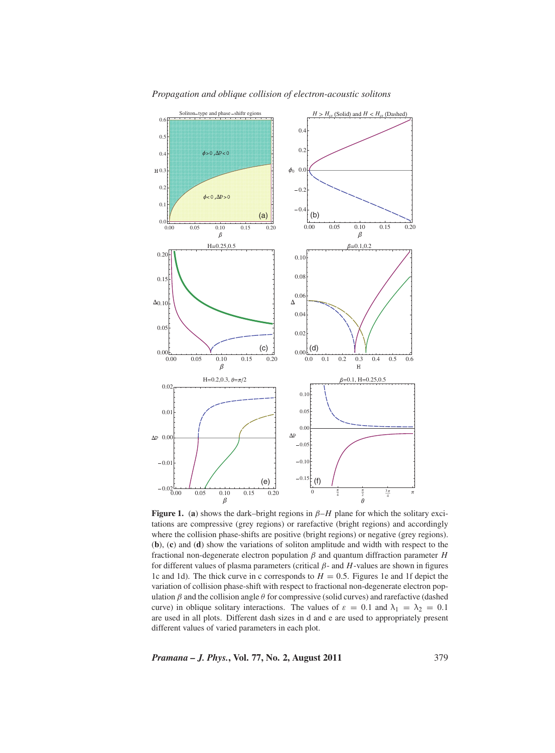

*Propagation and oblique collision of electron-acoustic solitons*

**Figure 1.** (a) shows the dark–bright regions in  $\beta$ –*H* plane for which the solitary excitations are compressive (grey regions) or rarefactive (bright regions) and accordingly where the collision phase-shifts are positive (bright regions) or negative (grey regions). (**b**), (**c**) and (**d**) show the variations of soliton amplitude and width with respect to the fractional non-degenerate electron population β and quantum diffraction parameter *H* for different values of plasma parameters (critical β- and *H*-values are shown in figures 1c and 1d). The thick curve in c corresponds to  $H = 0.5$ . Figures 1e and 1f depict the variation of collision phase-shift with respect to fractional non-degenerate electron population  $β$  and the collision angle  $θ$  for compressive (solid curves) and rarefactive (dashed curve) in oblique solitary interactions. The values of  $\varepsilon = 0.1$  and  $\lambda_1 = \lambda_2 = 0.1$ are used in all plots. Different dash sizes in d and e are used to appropriately present different values of varied parameters in each plot.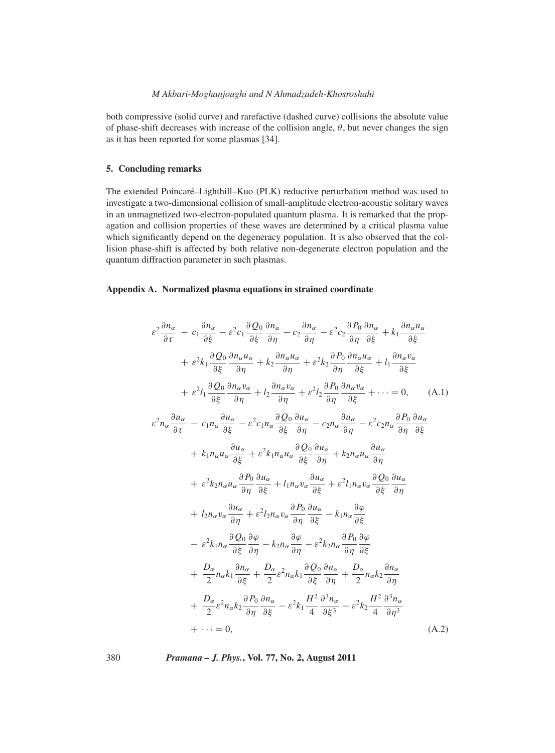both compressive (solid curve) and rarefactive (dashed curve) collisions the absolute value of phase-shift decreases with increase of the collision angle,  $\theta$ , but never changes the sign as it has been reported for some plasmas [34].

# **5. Concluding remarks**

The extended Poincaré–Lighthill–Kuo (PLK) reductive perturbation method was used to investigate a two-dimensional collision of small-amplitude electron-acoustic solitary waves in an unmagnetized two-electron-populated quantum plasma. It is remarked that the propagation and collision properties of these waves are determined by a critical plasma value which significantly depend on the degeneracy population. It is also observed that the collision phase-shift is affected by both relative non-degenerate electron population and the quantum diffraction parameter in such plasmas.

# **Appendix A. Normalized plasma equations in strained coordinate**

$$
\varepsilon^{2} \frac{\partial n_{\alpha}}{\partial \tau} - c_{1} \frac{\partial n_{\alpha}}{\partial \xi} - \varepsilon^{2} c_{1} \frac{\partial Q_{0}}{\partial \xi} \frac{\partial n_{\alpha}}{\partial \eta} - c_{2} \frac{\partial n_{\alpha}}{\partial \eta} - \varepsilon^{2} c_{2} \frac{\partial P_{0}}{\partial \eta} \frac{\partial n_{\alpha}}{\partial \xi} + k_{1} \frac{\partial n_{\alpha} u_{\alpha}}{\partial \xi} \n+ \varepsilon^{2} k_{1} \frac{\partial Q_{0}}{\partial \xi} \frac{\partial n_{\alpha} u_{\alpha}}{\partial \eta} + k_{2} \frac{\partial n_{\alpha} u_{\alpha}}{\partial \eta} + \varepsilon^{2} k_{2} \frac{\partial P_{0}}{\partial \eta} \frac{\partial n_{\alpha} u_{\alpha}}{\partial \xi} + l_{1} \frac{\partial n_{\alpha} v_{\alpha}}{\partial \xi} \n+ \varepsilon^{2} l_{1} \frac{\partial Q_{0}}{\partial \xi} \frac{\partial n_{\alpha} v_{\alpha}}{\partial \eta} + l_{2} \frac{\partial n_{\alpha} v_{\alpha}}{\partial \eta} + \varepsilon^{2} l_{2} \frac{\partial P_{0}}{\partial \eta} \frac{\partial n_{\alpha} u_{\alpha}}{\partial \xi} + \cdots = 0, \quad (A.1)
$$
\n
$$
\varepsilon^{2} n_{\alpha} \frac{\partial u_{\alpha}}{\partial \tau} - c_{1} n_{\alpha} \frac{\partial u_{\alpha}}{\partial \xi} - \varepsilon^{2} c_{1} n_{\alpha} \frac{\partial Q_{0}}{\partial \xi} \frac{\partial u_{\alpha}}{\partial \eta} - c_{2} n_{\alpha} \frac{\partial u_{\alpha}}{\partial \eta} - \varepsilon^{2} c_{2} n_{\alpha} \frac{\partial P_{0}}{\partial \eta} \frac{\partial u_{\alpha}}{\partial \xi} \n+ k_{1} n_{\alpha} u_{\alpha} \frac{\partial u_{\alpha}}{\partial \xi} + \varepsilon^{2} k_{1} n_{\alpha} u_{\alpha} \frac{\partial Q_{0}}{\partial \xi} \frac{\partial u_{\alpha}}{\partial \eta} + k_{2} n_{\alpha} u_{\alpha} \frac{\partial u_{\alpha}}{\partial \eta} \n+ \varepsilon^{2} k_{2} n_{\alpha} u_{\alpha} \frac{\partial P_{0}}{\partial \eta} \frac{\partial u_{\alpha
$$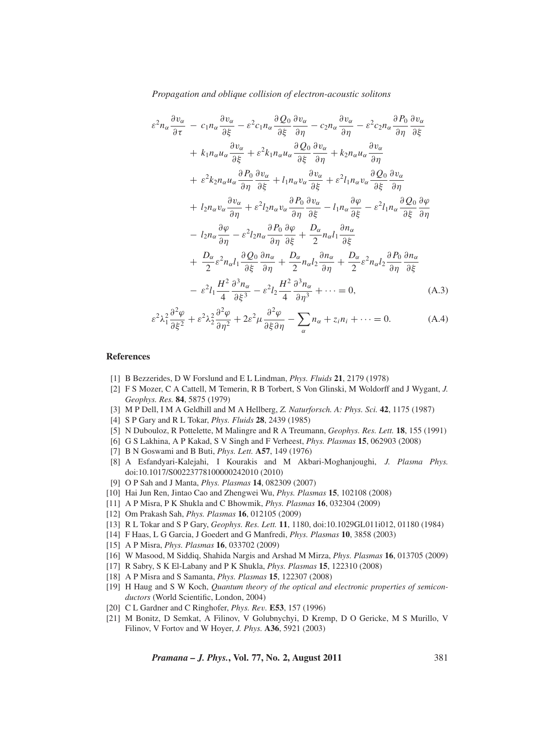*Propagation and oblique collision of electron-acoustic solitons*

$$
\varepsilon^{2} n_{\alpha} \frac{\partial v_{\alpha}}{\partial \tau} - c_{1} n_{\alpha} \frac{\partial v_{\alpha}}{\partial \xi} - \varepsilon^{2} c_{1} n_{\alpha} \frac{\partial Q_{0}}{\partial \xi} \frac{\partial v_{\alpha}}{\partial \eta} - c_{2} n_{\alpha} \frac{\partial v_{\alpha}}{\partial \eta} - \varepsilon^{2} c_{2} n_{\alpha} \frac{\partial P_{0}}{\partial \eta} \frac{\partial v_{\alpha}}{\partial \xi} \n+ k_{1} n_{\alpha} u_{\alpha} \frac{\partial v_{\alpha}}{\partial \xi} + \varepsilon^{2} k_{1} n_{\alpha} u_{\alpha} \frac{\partial Q_{0}}{\partial \xi} \frac{\partial v_{\alpha}}{\partial \eta} + k_{2} n_{\alpha} u_{\alpha} \frac{\partial v_{\alpha}}{\partial \eta} \n+ \varepsilon^{2} k_{2} n_{\alpha} u_{\alpha} \frac{\partial P_{0}}{\partial \eta} \frac{\partial v_{\alpha}}{\partial \xi} + l_{1} n_{\alpha} v_{\alpha} \frac{\partial v_{\alpha}}{\partial \xi} + \varepsilon^{2} l_{1} n_{\alpha} v_{\alpha} \frac{\partial Q_{0}}{\partial \xi} \frac{\partial v_{\alpha}}{\partial \eta} \n+ l_{2} n_{\alpha} v_{\alpha} \frac{\partial v_{\alpha}}{\partial \eta} + \varepsilon^{2} l_{2} n_{\alpha} v_{\alpha} \frac{\partial P_{0}}{\partial \eta} \frac{\partial v_{\alpha}}{\partial \xi} - l_{1} n_{\alpha} \frac{\partial \varphi}{\partial \xi} - \varepsilon^{2} l_{1} n_{\alpha} \frac{\partial Q_{0}}{\partial \xi} \frac{\partial \varphi}{\partial \eta} \n- l_{2} n_{\alpha} \frac{\partial \varphi}{\partial \eta} - \varepsilon^{2} l_{2} n_{\alpha} \frac{\partial P_{0}}{\partial \eta} \frac{\partial \varphi}{\partial \xi} + \frac{D_{\alpha}}{2} n_{\alpha} l_{1} \frac{\partial n_{\alpha}}{\partial \xi} \n+ \frac{D_{\alpha}}{2} \varepsilon^{2} n_{\alpha} l_{1} \frac{\partial Q_{0}}{\partial \xi} \frac{\partial n_{\alpha}}{\partial \eta} + \frac{D_{\alpha}}{2} n_{\alpha} l_{2} \frac{\partial n_{\alpha}}{\partial \eta} + \frac{D_{\alpha}}
$$

$$
\varepsilon^2 \lambda_1^2 \frac{\partial^2 \varphi}{\partial \xi^2} + \varepsilon^2 \lambda_2^2 \frac{\partial^2 \varphi}{\partial \eta^2} + 2\varepsilon^2 \mu \frac{\partial^2 \varphi}{\partial \xi \partial \eta} - \sum_{\alpha} n_{\alpha} + z_i n_i + \dots = 0.
$$
 (A.4)

## **References**

- [1] B Bezzerides, D W Forslund and E L Lindman, *Phys. Fluids* **21**, 2179 (1978)
- [2] F S Mozer, C A Cattell, M Temerin, R B Torbert, S Von Glinski, M Woldorff and J Wygant, *J. Geophys. Res.* **84**, 5875 (1979)
- [3] M P Dell, I M A Geldhill and M A Hellberg, *Z. Naturforsch. A: Phys. Sci.* **42**, 1175 (1987)
- [4] S P Gary and R L Tokar, *Phys. Fluids* **28**, 2439 (1985)
- [5] N Dubouloz, R Pottelette, M Malingre and R A Treumann, *Geophys. Res. Lett.* **18**, 155 (1991)
- [6] G S Lakhina, A P Kakad, S V Singh and F Verheest, *Phys. Plasmas* **15**, 062903 (2008)
- [7] B N Goswami and B Buti, *Phys. Lett.* **A57**, 149 (1976)
- [8] A Esfandyari-Kalejahi, I Kourakis and M Akbari-Moghanjoughi, *J. Plasma Phys.* doi:10.1017/S00223778100000242010 (2010)
- [9] O P Sah and J Manta, *Phys. Plasmas* **14**, 082309 (2007)
- [10] Hai Jun Ren, Jintao Cao and Zhengwei Wu, *Phys. Plasmas* **15**, 102108 (2008)
- [11] A P Misra, P K Shukla and C Bhowmik, *Phys. Plasmas* **16**, 032304 (2009)
- [12] Om Prakash Sah, *Phys. Plasmas* **16**, 012105 (2009)
- [13] R L Tokar and S P Gary, *Geophys. Res. Lett.* **11**, 1180, doi:10.1029GL011i012, 01180 (1984)
- [14] F Haas, L G Garcia, J Goedert and G Manfredi, *Phys. Plasmas* **10**, 3858 (2003)
- [15] A P Misra, *Phys. Plasmas* **16**, 033702 (2009)
- [16] W Masood, M Siddiq, Shahida Nargis and Arshad M Mirza, *Phys. Plasmas* **16**, 013705 (2009)
- [17] R Sabry, S K El-Labany and P K Shukla, *Phys. Plasmas* **15**, 122310 (2008)
- [18] A P Misra and S Samanta, *Phys. Plasmas* **15**, 122307 (2008)
- [19] H Haug and S W Koch, *Quantum theory of the optical and electronic properties of semiconductors* (World Scientific, London, 2004)
- [20] C L Gardner and C Ringhofer, *Phys. Re*v*.* **E53**, 157 (1996)
- [21] M Bonitz, D Semkat, A Filinov, V Golubnychyi, D Kremp, D O Gericke, M S Murillo, V Filinov, V Fortov and W Hoyer, *J. Phys.* **A36**, 5921 (2003)